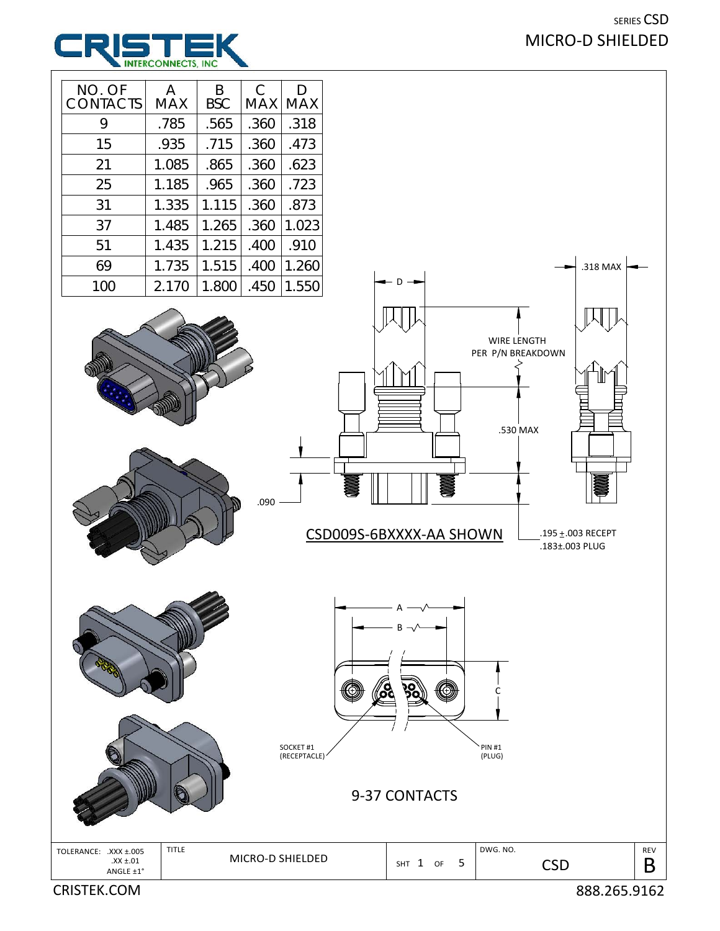## SERIES CSD MICRO‐D SHIELDED



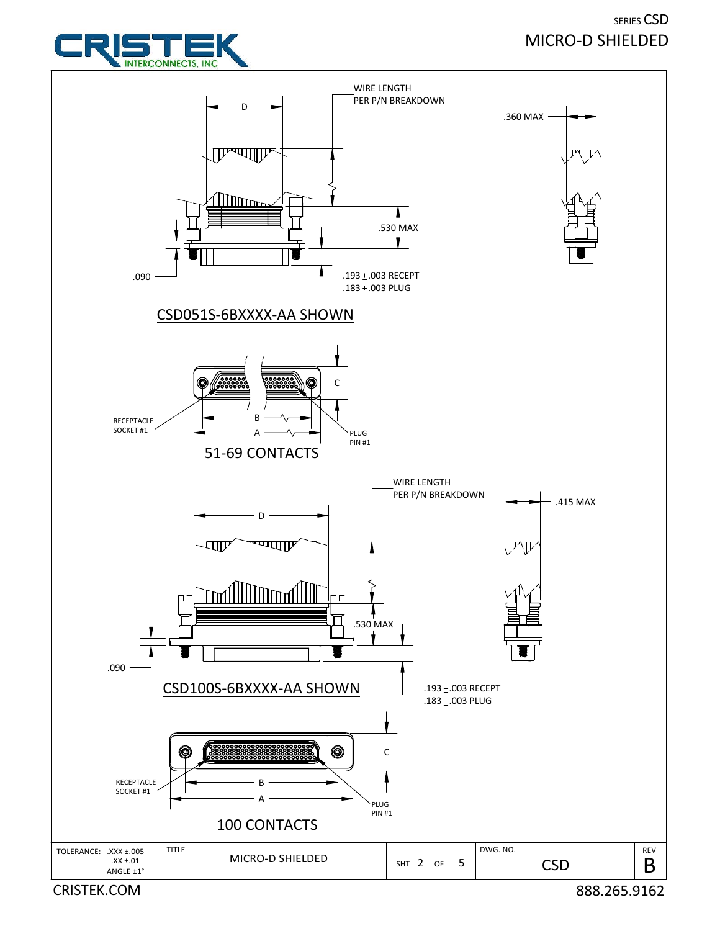## SERIES CSD MICRO‐D SHIELDED



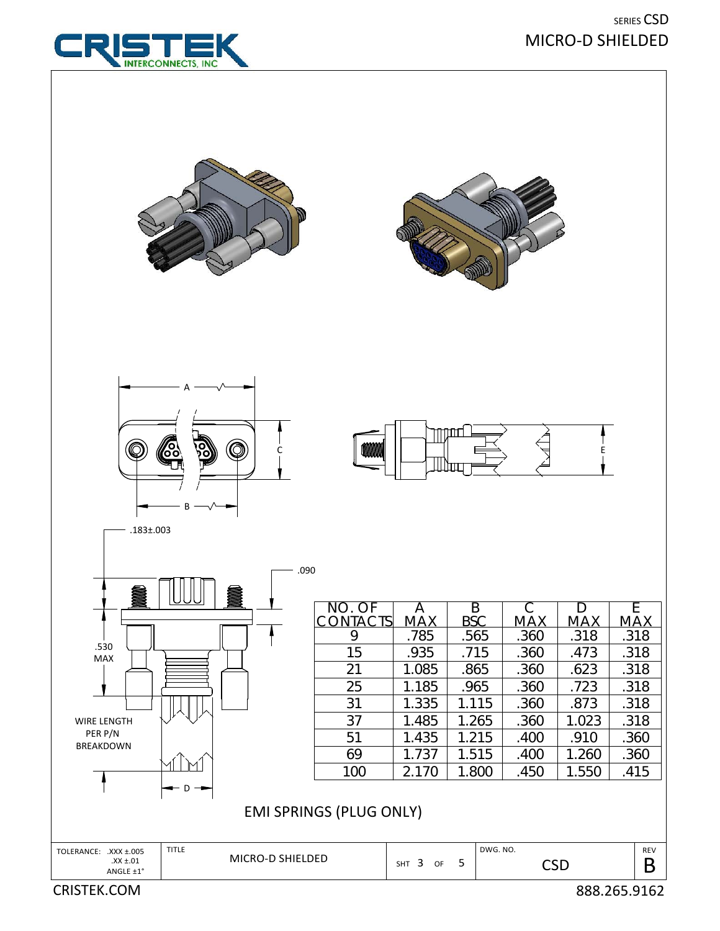|                                                                                                                                                   | .090 |                                                                          |                                                                                                |                                                                                              |                                                                                         |                                                                                            |                                                                                         |
|---------------------------------------------------------------------------------------------------------------------------------------------------|------|--------------------------------------------------------------------------|------------------------------------------------------------------------------------------------|----------------------------------------------------------------------------------------------|-----------------------------------------------------------------------------------------|--------------------------------------------------------------------------------------------|-----------------------------------------------------------------------------------------|
| .530<br><b>MAX</b><br><b>WIRE LENGTH</b><br>PER P/N<br><b>BREAKDOWN</b>                                                                           | 2,   | NO. OF<br>CONTACTS<br>9<br>15<br>21<br>25<br>31<br>37<br>51<br>69<br>100 | A<br><b>MAX</b><br>.785<br>.935<br>1.085<br>1.185<br>1.335<br>1.485<br>1.435<br>1.737<br>2.170 | B<br><b>BSC</b><br>.565<br>.715<br>.865<br>.965<br>1.115<br>1.265<br>1.215<br>1.515<br>1.800 | С<br><b>MAX</b><br>.360<br>.360<br>.360<br>.360<br>.360<br>.360<br>.400<br>.400<br>.450 | D<br><b>MAX</b><br>.318<br>.473<br>.623<br>.723<br>.873<br>1.023<br>.910<br>1.260<br>1.550 | E<br><b>MAX</b><br>.318<br>.318<br>.318<br>.318<br>.318<br>.318<br>.360<br>.360<br>.415 |
| D<br><b>EMI SPRINGS (PLUG ONLY)</b><br><b>TITLE</b><br>DWG. NO.<br><b>REV</b><br>TOLERANCE: .XXX ±.005<br>MICRO-D SHIELDED<br>$.XX \pm .01$<br>-5 |      |                                                                          |                                                                                                |                                                                                              |                                                                                         |                                                                                            |                                                                                         |
| ANGLE ±1°<br><b>CRISTEK.COM</b>                                                                                                                   |      |                                                                          | $SHT$ 3<br>OF                                                                                  |                                                                                              | <b>CSD</b>                                                                              |                                                                                            | B<br>888.265.9162                                                                       |









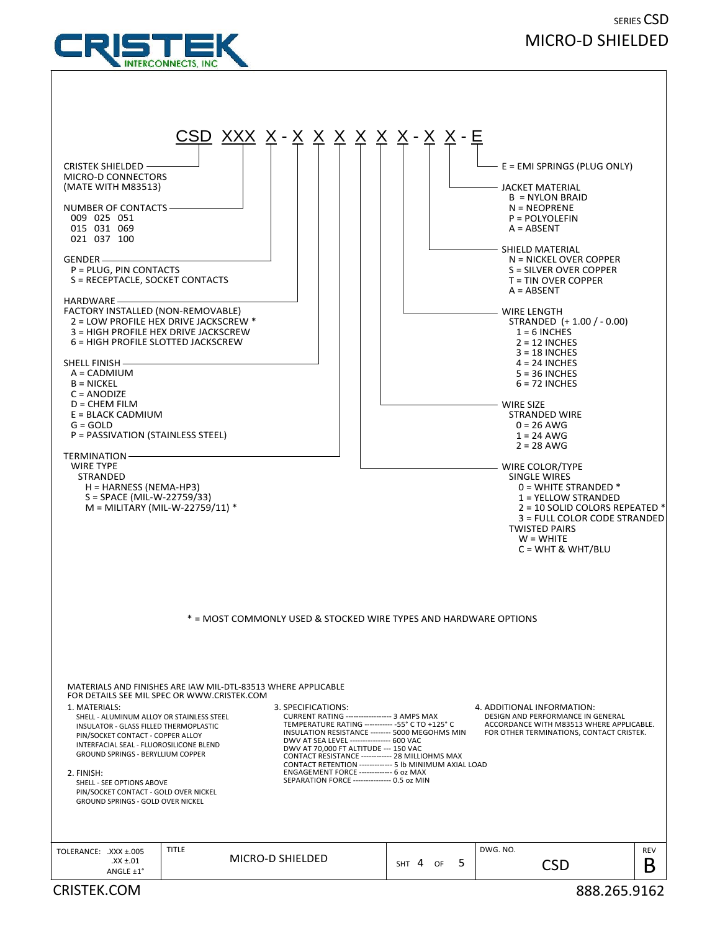